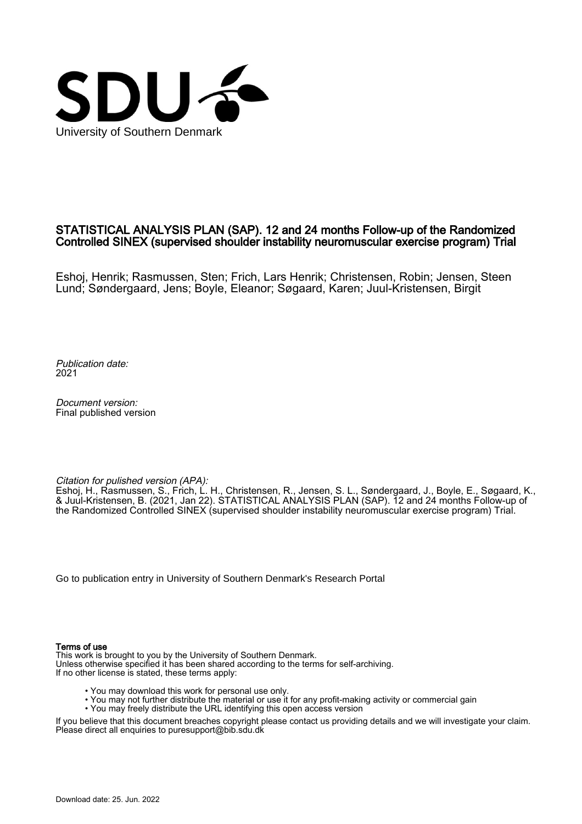

### STATISTICAL ANALYSIS PLAN (SAP). 12 and 24 months Follow-up of the Randomized Controlled SINEX (supervised shoulder instability neuromuscular exercise program) Trial

Eshoj, Henrik; Rasmussen, Sten; Frich, Lars Henrik; Christensen, Robin; Jensen, Steen Lund; Søndergaard, Jens; Boyle, Eleanor; Søgaard, Karen; Juul-Kristensen, Birgit

Publication date: 2021

Document version: Final published version

Citation for pulished version (APA):

Eshoj, H., Rasmussen, S., Frich, L. H., Christensen, R., Jensen, S. L., Søndergaard, J., Boyle, E., Søgaard, K., & Juul-Kristensen, B. (2021, Jan 22). STATISTICAL ANALYSIS PLAN (SAP). 12 and 24 months Follow-up of the Randomized Controlled SINEX (supervised shoulder instability neuromuscular exercise program) Trial.

[Go to publication entry in University of Southern Denmark's Research Portal](https://portal.findresearcher.sdu.dk/en/publications/6084a279-9878-46b8-b790-2aeb28282cfb)

#### Terms of use

This work is brought to you by the University of Southern Denmark. Unless otherwise specified it has been shared according to the terms for self-archiving. If no other license is stated, these terms apply:

- You may download this work for personal use only.
- You may not further distribute the material or use it for any profit-making activity or commercial gain
- You may freely distribute the URL identifying this open access version

If you believe that this document breaches copyright please contact us providing details and we will investigate your claim. Please direct all enquiries to puresupport@bib.sdu.dk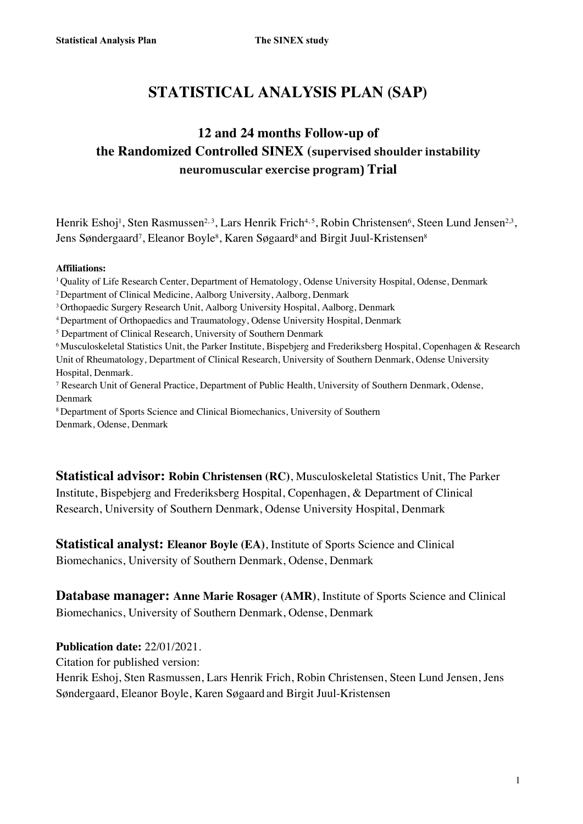# **STATISTICAL ANALYSIS PLAN (SAP)**

## **12 and 24 months Follow-up of the Randomized Controlled SINEX** (supervised shoulder instability **neuromuscular exercise program) Trial**

Henrik Eshoj<sup>1</sup>, Sten Rasmussen<sup>2, 3</sup>, Lars Henrik Frich<sup>4, 5</sup>, Robin Christensen<sup>6</sup>, Steen Lund Jensen<sup>2,3</sup>, Jens Søndergaard<sup>7</sup>, Eleanor Boyle<sup>s</sup>, Karen Søgaard<sup>s</sup> and Birgit Juul-Kristensen<sup>s</sup>

#### **Affiliations:**

<sup>1</sup> Quality of Life Research Center, Department of Hematology, Odense University Hospital, Odense, Denmark

- 2 Department of Clinical Medicine, Aalborg University, Aalborg, Denmark
- <sup>3</sup> Orthopaedic Surgery Research Unit, Aalborg University Hospital, Aalborg, Denmark
- 4 Department of Orthopaedics and Traumatology, Odense University Hospital, Denmark
- <sup>5</sup> Department of Clinical Research, University of Southern Denmark
- <sup>6</sup> Musculoskeletal Statistics Unit, the Parker Institute, Bispebjerg and Frederiksberg Hospital, Copenhagen & Research Unit of Rheumatology, Department of Clinical Research, University of Southern Denmark, Odense University Hospital, Denmark.
- <sup>7</sup> Research Unit of General Practice, Department of Public Health, University of Southern Denmark, Odense, Denmark
- <sup>8</sup> Department of Sports Science and Clinical Biomechanics, University of Southern Denmark, Odense, Denmark

**Statistical advisor: Robin Christensen (RC)**, Musculoskeletal Statistics Unit, The Parker Institute, Bispebjerg and Frederiksberg Hospital, Copenhagen, & Department of Clinical Research, University of Southern Denmark, Odense University Hospital, Denmark

**Statistical analyst: Eleanor Boyle (EA)**, Institute of Sports Science and Clinical Biomechanics, University of Southern Denmark, Odense, Denmark

**Database manager: Anne Marie Rosager (AMR)**, Institute of Sports Science and Clinical Biomechanics, University of Southern Denmark, Odense, Denmark

**Publication date:** 22/01/2021.

Citation for published version:

Henrik Eshoj, Sten Rasmussen, Lars Henrik Frich, Robin Christensen, Steen Lund Jensen, Jens Søndergaard, Eleanor Boyle, Karen Søgaard and Birgit Juul-Kristensen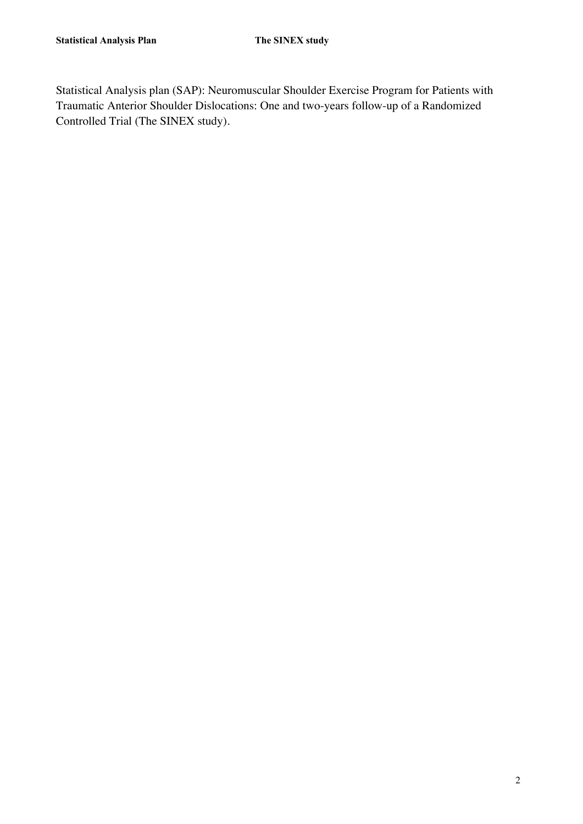Statistical Analysis plan (SAP): Neuromuscular Shoulder Exercise Program for Patients with Traumatic Anterior Shoulder Dislocations: One and two-years follow-up of a Randomized Controlled Trial (The SINEX study).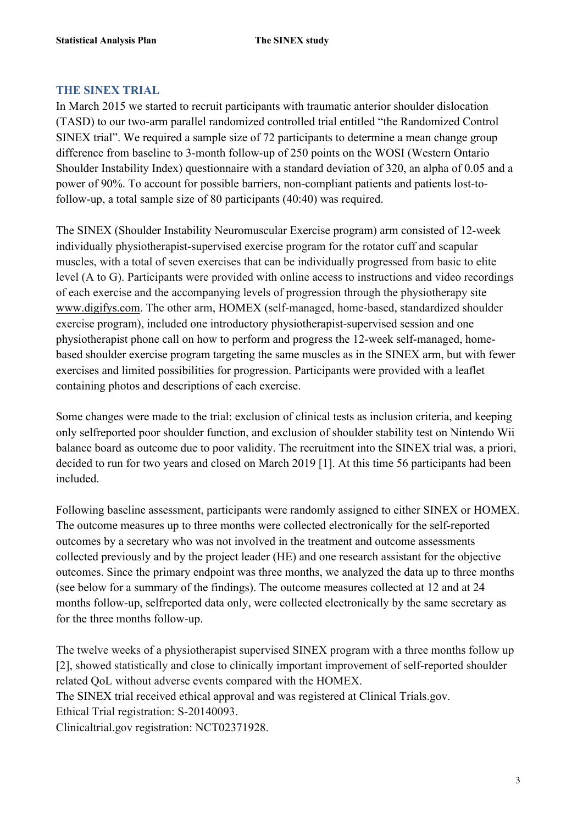### **THE SINEX TRIAL**

In March 2015 we started to recruit participants with traumatic anterior shoulder dislocation (TASD) to our two-arm parallel randomized controlled trial entitled "the Randomized Control SINEX trial". We required a sample size of 72 participants to determine a mean change group difference from baseline to 3-month follow-up of 250 points on the WOSI (Western Ontario Shoulder Instability Index) questionnaire with a standard deviation of 320, an alpha of 0.05 and a power of 90%. To account for possible barriers, non-compliant patients and patients lost-tofollow-up, a total sample size of 80 participants (40:40) was required.

The SINEX (Shoulder Instability Neuromuscular Exercise program) arm consisted of 12-week individually physiotherapist-supervised exercise program for the rotator cuff and scapular muscles, with a total of seven exercises that can be individually progressed from basic to elite level (A to G). Participants were provided with online access to instructions and video recordings of each exercise and the accompanying levels of progression through the physiotherapy site www.digifys.com. The other arm, HOMEX (self-managed, home-based, standardized shoulder exercise program), included one introductory physiotherapist-supervised session and one physiotherapist phone call on how to perform and progress the 12-week self-managed, homebased shoulder exercise program targeting the same muscles as in the SINEX arm, but with fewer exercises and limited possibilities for progression. Participants were provided with a leaflet containing photos and descriptions of each exercise.

Some changes were made to the trial: exclusion of clinical tests as inclusion criteria, and keeping only selfreported poor shoulder function, and exclusion of shoulder stability test on Nintendo Wii balance board as outcome due to poor validity. The recruitment into the SINEX trial was, a priori, decided to run for two years and closed on March 2019 [1]. At this time 56 participants had been included.

Following baseline assessment, participants were randomly assigned to either SINEX or HOMEX. The outcome measures up to three months were collected electronically for the self-reported outcomes by a secretary who was not involved in the treatment and outcome assessments collected previously and by the project leader (HE) and one research assistant for the objective outcomes. Since the primary endpoint was three months, we analyzed the data up to three months (see below for a summary of the findings). The outcome measures collected at 12 and at 24 months follow-up, selfreported data only, were collected electronically by the same secretary as for the three months follow-up.

The twelve weeks of a physiotherapist supervised SINEX program with a three months follow up [2], showed statistically and close to clinically important improvement of self-reported shoulder related QoL without adverse events compared with the HOMEX.

The SINEX trial received ethical approval and was registered at Clinical Trials.gov. Ethical Trial registration: S-20140093.

Clinicaltrial.gov registration: NCT02371928.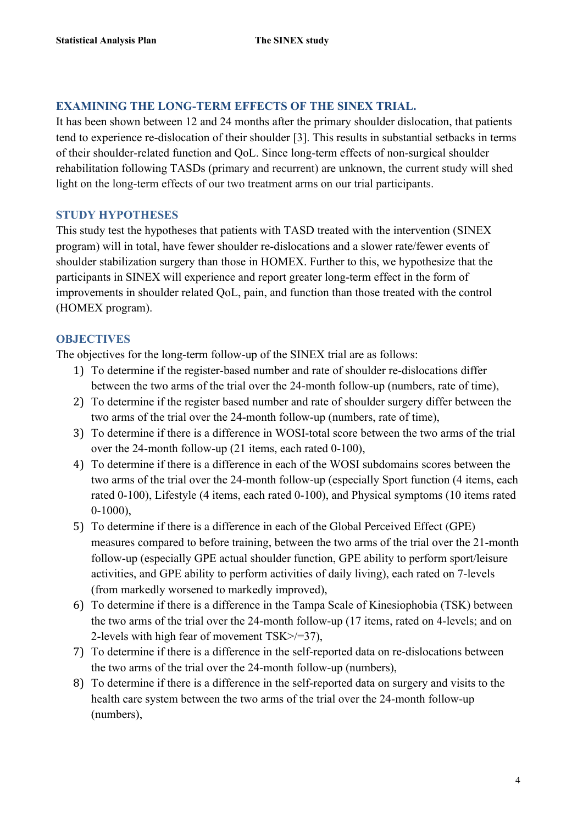## **EXAMINING THE LONG-TERM EFFECTS OF THE SINEX TRIAL.**

It has been shown between 12 and 24 months after the primary shoulder dislocation, that patients tend to experience re-dislocation of their shoulder [3]. This results in substantial setbacks in terms of their shoulder-related function and QoL. Since long-term effects of non-surgical shoulder rehabilitation following TASDs (primary and recurrent) are unknown, the current study will shed light on the long-term effects of our two treatment arms on our trial participants.

## **STUDY HYPOTHESES**

This study test the hypotheses that patients with TASD treated with the intervention (SINEX program) will in total, have fewer shoulder re-dislocations and a slower rate/fewer events of shoulder stabilization surgery than those in HOMEX. Further to this, we hypothesize that the participants in SINEX will experience and report greater long-term effect in the form of improvements in shoulder related QoL, pain, and function than those treated with the control (HOMEX program).

### **OBJECTIVES**

The objectives for the long-term follow-up of the SINEX trial are as follows:

- 1) To determine if the register-based number and rate of shoulder re-dislocations differ between the two arms of the trial over the 24-month follow-up (numbers, rate of time),
- 2) To determine if the register based number and rate of shoulder surgery differ between the two arms of the trial over the 24-month follow-up (numbers, rate of time),
- 3) To determine if there is a difference in WOSI-total score between the two arms of the trial over the 24-month follow-up (21 items, each rated 0-100),
- 4) To determine if there is a difference in each of the WOSI subdomains scores between the two arms of the trial over the 24-month follow-up (especially Sport function (4 items, each rated 0-100), Lifestyle (4 items, each rated 0-100), and Physical symptoms (10 items rated 0-1000),
- 5) To determine if there is a difference in each of the Global Perceived Effect (GPE) measures compared to before training, between the two arms of the trial over the 21-month follow-up (especially GPE actual shoulder function, GPE ability to perform sport/leisure activities, and GPE ability to perform activities of daily living), each rated on 7-levels (from markedly worsened to markedly improved),
- 6) To determine if there is a difference in the Tampa Scale of Kinesiophobia (TSK) between the two arms of the trial over the 24-month follow-up (17 items, rated on 4-levels; and on 2-levels with high fear of movement TSK>/=37),
- 7) To determine if there is a difference in the self-reported data on re-dislocations between the two arms of the trial over the 24-month follow-up (numbers),
- 8) To determine if there is a difference in the self-reported data on surgery and visits to the health care system between the two arms of the trial over the 24-month follow-up (numbers),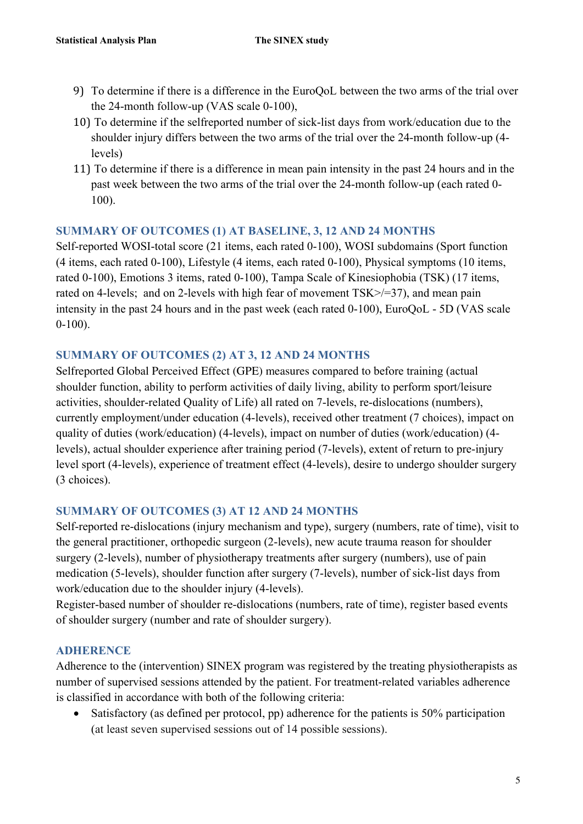- 9) To determine if there is a difference in the EuroQoL between the two arms of the trial over the 24-month follow-up (VAS scale 0-100),
- 10) To determine if the selfreported number of sick-list days from work/education due to the shoulder injury differs between the two arms of the trial over the 24-month follow-up (4 levels)
- 11) To determine if there is a difference in mean pain intensity in the past 24 hours and in the past week between the two arms of the trial over the 24-month follow-up (each rated 0- 100).

## **SUMMARY OF OUTCOMES (1) AT BASELINE, 3, 12 AND 24 MONTHS**

Self-reported WOSI-total score (21 items, each rated 0-100), WOSI subdomains (Sport function (4 items, each rated 0-100), Lifestyle (4 items, each rated 0-100), Physical symptoms (10 items, rated 0-100), Emotions 3 items, rated 0-100), Tampa Scale of Kinesiophobia (TSK) (17 items, rated on 4-levels; and on 2-levels with high fear of movement TSK $\ge$ /=37), and mean pain intensity in the past 24 hours and in the past week (each rated 0-100), EuroQoL - 5D (VAS scale 0-100).

## **SUMMARY OF OUTCOMES (2) AT 3, 12 AND 24 MONTHS**

Selfreported Global Perceived Effect (GPE) measures compared to before training (actual shoulder function, ability to perform activities of daily living, ability to perform sport/leisure activities, shoulder-related Quality of Life) all rated on 7-levels, re-dislocations (numbers), currently employment/under education (4-levels), received other treatment (7 choices), impact on quality of duties (work/education) (4-levels), impact on number of duties (work/education) (4 levels), actual shoulder experience after training period (7-levels), extent of return to pre-injury level sport (4-levels), experience of treatment effect (4-levels), desire to undergo shoulder surgery (3 choices).

## **SUMMARY OF OUTCOMES (3) AT 12 AND 24 MONTHS**

Self-reported re-dislocations (injury mechanism and type), surgery (numbers, rate of time), visit to the general practitioner, orthopedic surgeon (2-levels), new acute trauma reason for shoulder surgery (2-levels), number of physiotherapy treatments after surgery (numbers), use of pain medication (5-levels), shoulder function after surgery (7-levels), number of sick-list days from work/education due to the shoulder injury (4-levels).

Register-based number of shoulder re-dislocations (numbers, rate of time), register based events of shoulder surgery (number and rate of shoulder surgery).

### **ADHERENCE**

Adherence to the (intervention) SINEX program was registered by the treating physiotherapists as number of supervised sessions attended by the patient. For treatment-related variables adherence is classified in accordance with both of the following criteria:

• Satisfactory (as defined per protocol, pp) adherence for the patients is 50% participation (at least seven supervised sessions out of 14 possible sessions).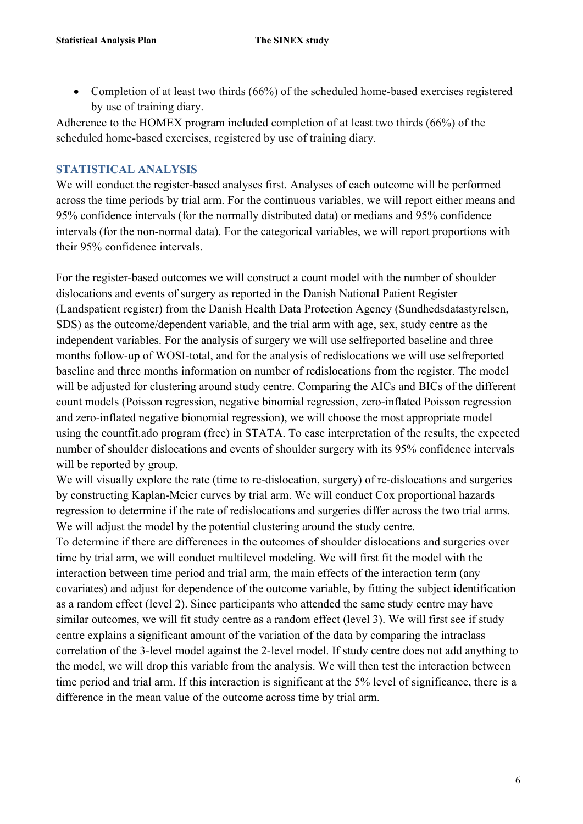• Completion of at least two thirds (66%) of the scheduled home-based exercises registered by use of training diary.

Adherence to the HOMEX program included completion of at least two thirds (66%) of the scheduled home-based exercises, registered by use of training diary.

## **STATISTICAL ANALYSIS**

We will conduct the register-based analyses first. Analyses of each outcome will be performed across the time periods by trial arm. For the continuous variables, we will report either means and 95% confidence intervals (for the normally distributed data) or medians and 95% confidence intervals (for the non-normal data). For the categorical variables, we will report proportions with their 95% confidence intervals.

For the register-based outcomes we will construct a count model with the number of shoulder dislocations and events of surgery as reported in the Danish National Patient Register (Landspatient register) from the Danish Health Data Protection Agency (Sundhedsdatastyrelsen, SDS) as the outcome/dependent variable, and the trial arm with age, sex, study centre as the independent variables. For the analysis of surgery we will use selfreported baseline and three months follow-up of WOSI-total, and for the analysis of redislocations we will use selfreported baseline and three months information on number of redislocations from the register. The model will be adjusted for clustering around study centre. Comparing the AICs and BICs of the different count models (Poisson regression, negative binomial regression, zero-inflated Poisson regression and zero-inflated negative bionomial regression), we will choose the most appropriate model using the countfit.ado program (free) in STATA. To ease interpretation of the results, the expected number of shoulder dislocations and events of shoulder surgery with its 95% confidence intervals will be reported by group.

We will visually explore the rate (time to re-dislocation, surgery) of re-dislocations and surgeries by constructing Kaplan-Meier curves by trial arm. We will conduct Cox proportional hazards regression to determine if the rate of redislocations and surgeries differ across the two trial arms. We will adjust the model by the potential clustering around the study centre.

To determine if there are differences in the outcomes of shoulder dislocations and surgeries over time by trial arm, we will conduct multilevel modeling. We will first fit the model with the interaction between time period and trial arm, the main effects of the interaction term (any covariates) and adjust for dependence of the outcome variable, by fitting the subject identification as a random effect (level 2). Since participants who attended the same study centre may have similar outcomes, we will fit study centre as a random effect (level 3). We will first see if study centre explains a significant amount of the variation of the data by comparing the intraclass correlation of the 3-level model against the 2-level model. If study centre does not add anything to the model, we will drop this variable from the analysis. We will then test the interaction between time period and trial arm. If this interaction is significant at the 5% level of significance, there is a difference in the mean value of the outcome across time by trial arm.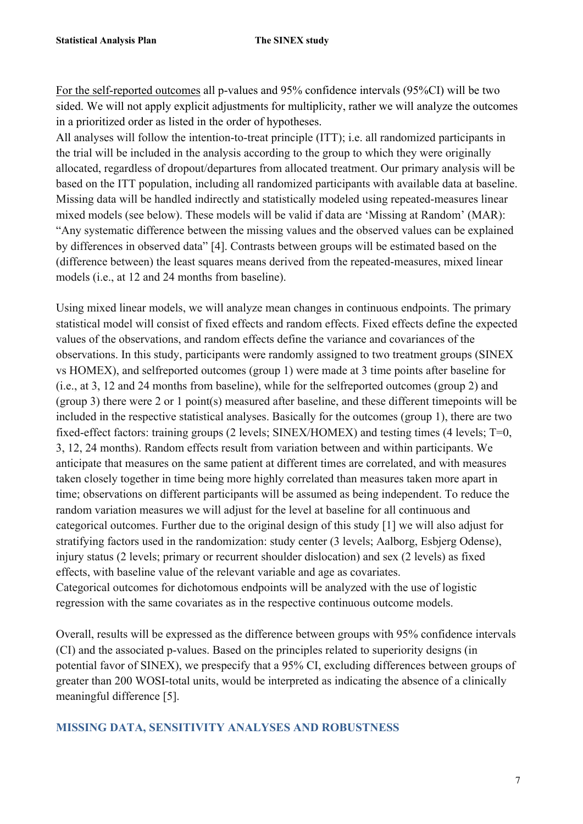For the self-reported outcomes all p-values and 95% confidence intervals (95%CI) will be two sided. We will not apply explicit adjustments for multiplicity, rather we will analyze the outcomes in a prioritized order as listed in the order of hypotheses.

All analyses will follow the intention-to-treat principle (ITT); i.e. all randomized participants in the trial will be included in the analysis according to the group to which they were originally allocated, regardless of dropout/departures from allocated treatment. Our primary analysis will be based on the ITT population, including all randomized participants with available data at baseline. Missing data will be handled indirectly and statistically modeled using repeated-measures linear mixed models (see below). These models will be valid if data are 'Missing at Random' (MAR): "Any systematic difference between the missing values and the observed values can be explained by differences in observed data" [4]. Contrasts between groups will be estimated based on the (difference between) the least squares means derived from the repeated-measures, mixed linear models (i.e., at 12 and 24 months from baseline).

Using mixed linear models, we will analyze mean changes in continuous endpoints. The primary statistical model will consist of fixed effects and random effects. Fixed effects define the expected values of the observations, and random effects define the variance and covariances of the observations. In this study, participants were randomly assigned to two treatment groups (SINEX vs HOMEX), and selfreported outcomes (group 1) were made at 3 time points after baseline for (i.e., at 3, 12 and 24 months from baseline), while for the selfreported outcomes (group 2) and (group 3) there were 2 or 1 point(s) measured after baseline, and these different timepoints will be included in the respective statistical analyses. Basically for the outcomes (group 1), there are two fixed-effect factors: training groups (2 levels; SINEX/HOMEX) and testing times (4 levels; T=0, 3, 12, 24 months). Random effects result from variation between and within participants. We anticipate that measures on the same patient at different times are correlated, and with measures taken closely together in time being more highly correlated than measures taken more apart in time; observations on different participants will be assumed as being independent. To reduce the random variation measures we will adjust for the level at baseline for all continuous and categorical outcomes. Further due to the original design of this study [1] we will also adjust for stratifying factors used in the randomization: study center (3 levels; Aalborg, Esbjerg Odense), injury status (2 levels; primary or recurrent shoulder dislocation) and sex (2 levels) as fixed effects, with baseline value of the relevant variable and age as covariates. Categorical outcomes for dichotomous endpoints will be analyzed with the use of logistic regression with the same covariates as in the respective continuous outcome models.

Overall, results will be expressed as the difference between groups with 95% confidence intervals (CI) and the associated p-values. Based on the principles related to superiority designs (in potential favor of SINEX), we prespecify that a 95% CI, excluding differences between groups of greater than 200 WOSI-total units, would be interpreted as indicating the absence of a clinically meaningful difference [5].

## **MISSING DATA, SENSITIVITY ANALYSES AND ROBUSTNESS**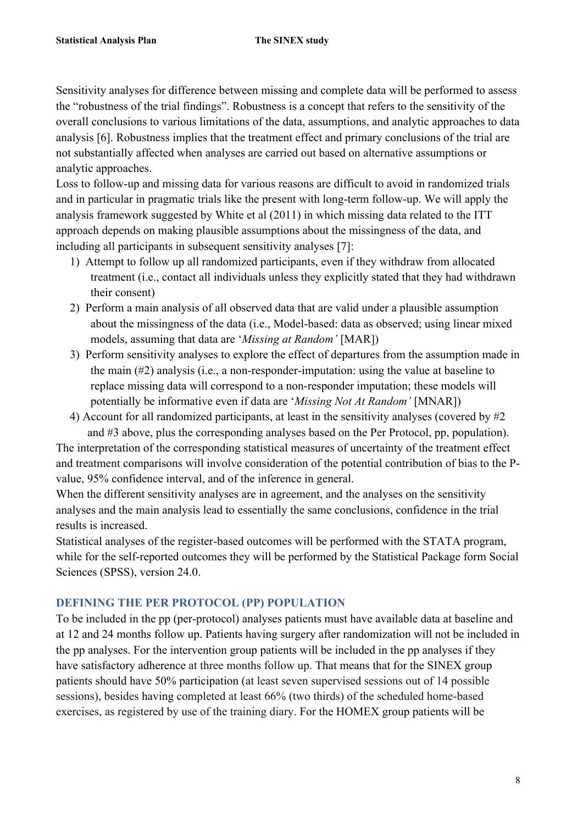Sensitivity analyses for difference between missing and complete data will be performed to assess the "robustness of the trial findings". Robustness is a concept that refers to the sensitivity of the overall conclusions to various limitations of the data, assumptions, and analytic approaches to data analysis [6]. Robustness implies that the treatment effect and primary conclusions of the trial are not substantially affected when analyses are carried out based on alternative assumptions or analytic approaches.

Loss to follow-up and missing data for various reasons are difficult to avoid in randomized trials and in particular in pragmatic trials like the present with long-term follow-up. We will apply the analysis framework suggested by White et al (2011) in which missing data related to the ITT approach depends on making plausible assumptions about the missingness of the data, and including all participants in subsequent sensitivity analyses [7]:

- 1) Attempt to follow up all randomized participants, even if they withdraw from allocated treatment (i.e., contact all individuals unless they explicitly stated that they had withdrawn their consent)
- 2) Perform a main analysis of all observed data that are valid under a plausible assumption about the missingness of the data (i.e., Model-based: data as observed; using linear mixed models, assuming that data are '*Missing at Random'* [MAR])
- 3) Perform sensitivity analyses to explore the effect of departures from the assumption made in the main (#2) analysis (i.e., a non-responder-imputation: using the value at baseline to replace missing data will correspond to a non-responder imputation; these models will potentially be informative even if data are '*Missing Not At Random'* [MNAR])
- 4) Account for all randomized participants, at least in the sensitivity analyses (covered by #2 and #3 above, plus the corresponding analyses based on the Per Protocol, pp, population).

The interpretation of the corresponding statistical measures of uncertainty of the treatment effect and treatment comparisons will involve consideration of the potential contribution of bias to the Pvalue, 95% confidence interval, and of the inference in general.

When the different sensitivity analyses are in agreement, and the analyses on the sensitivity analyses and the main analysis lead to essentially the same conclusions, confidence in the trial results is increased.

Statistical analyses of the register-based outcomes will be performed with the STATA program, while for the self-reported outcomes they will be performed by the Statistical Package form Social Sciences (SPSS), version 24.0.

## **DEFINING THE PER PROTOCOL (PP) POPULATION**

To be included in the pp (per-protocol) analyses patients must have available data at baseline and at 12 and 24 months follow up. Patients having surgery after randomization will not be included in the pp analyses. For the intervention group patients will be included in the pp analyses if they have satisfactory adherence at three months follow up. That means that for the SINEX group patients should have 50% participation (at least seven supervised sessions out of 14 possible sessions), besides having completed at least 66% (two thirds) of the scheduled home-based exercises, as registered by use of the training diary. For the HOMEX group patients will be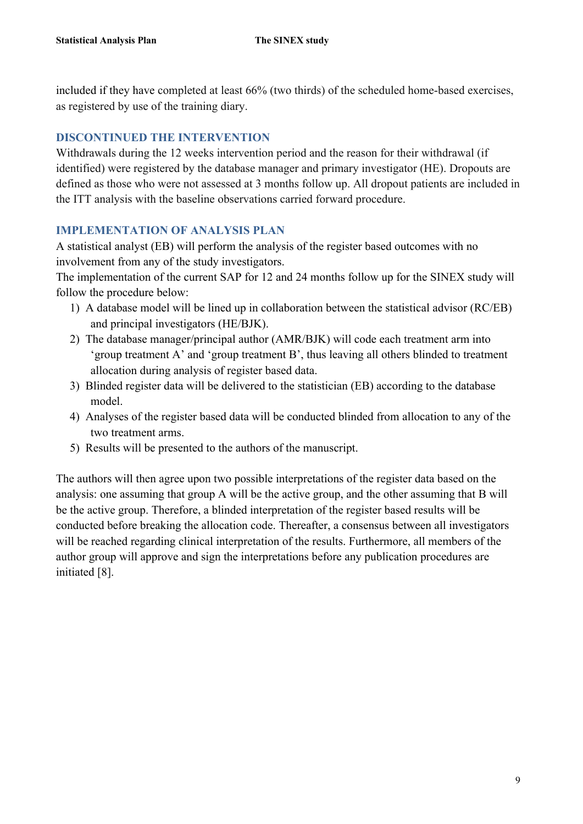included if they have completed at least 66% (two thirds) of the scheduled home-based exercises, as registered by use of the training diary.

## **DISCONTINUED THE INTERVENTION**

Withdrawals during the 12 weeks intervention period and the reason for their withdrawal (if identified) were registered by the database manager and primary investigator (HE). Dropouts are defined as those who were not assessed at 3 months follow up. All dropout patients are included in the ITT analysis with the baseline observations carried forward procedure.

## **IMPLEMENTATION OF ANALYSIS PLAN**

A statistical analyst (EB) will perform the analysis of the register based outcomes with no involvement from any of the study investigators.

The implementation of the current SAP for 12 and 24 months follow up for the SINEX study will follow the procedure below:

- 1) A database model will be lined up in collaboration between the statistical advisor (RC/EB) and principal investigators (HE/BJK).
- 2) The database manager/principal author (AMR/BJK) will code each treatment arm into 'group treatment A' and 'group treatment B', thus leaving all others blinded to treatment allocation during analysis of register based data.
- 3) Blinded register data will be delivered to the statistician (EB) according to the database model.
- 4) Analyses of the register based data will be conducted blinded from allocation to any of the two treatment arms.
- 5) Results will be presented to the authors of the manuscript.

The authors will then agree upon two possible interpretations of the register data based on the analysis: one assuming that group A will be the active group, and the other assuming that B will be the active group. Therefore, a blinded interpretation of the register based results will be conducted before breaking the allocation code. Thereafter, a consensus between all investigators will be reached regarding clinical interpretation of the results. Furthermore, all members of the author group will approve and sign the interpretations before any publication procedures are initiated [8].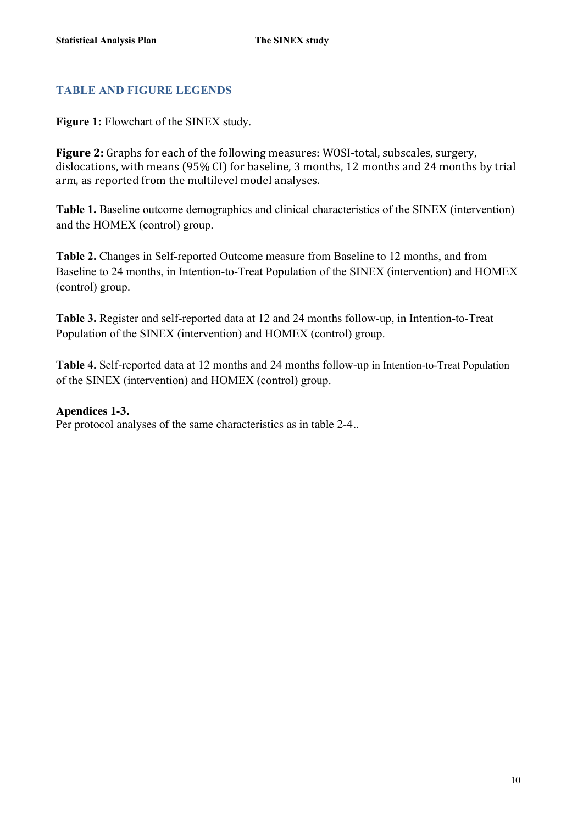## **TABLE AND FIGURE LEGENDS**

**Figure 1:** Flowchart of the SINEX study.

**Figure 2:** Graphs for each of the following measures: WOSI-total, subscales, surgery, dislocations, with means (95% CI) for baseline, 3 months, 12 months and 24 months by trial arm, as reported from the multilevel model analyses.

**Table 1.** Baseline outcome demographics and clinical characteristics of the SINEX (intervention) and the HOMEX (control) group.

**Table 2.** Changes in Self-reported Outcome measure from Baseline to 12 months, and from Baseline to 24 months, in Intention-to-Treat Population of the SINEX (intervention) and HOMEX (control) group.

**Table 3.** Register and self-reported data at 12 and 24 months follow-up, in Intention-to-Treat Population of the SINEX (intervention) and HOMEX (control) group.

**Table 4.** Self-reported data at 12 months and 24 months follow-up in Intention-to-Treat Population of the SINEX (intervention) and HOMEX (control) group.

#### **Apendices 1-3.**

Per protocol analyses of the same characteristics as in table 2-4..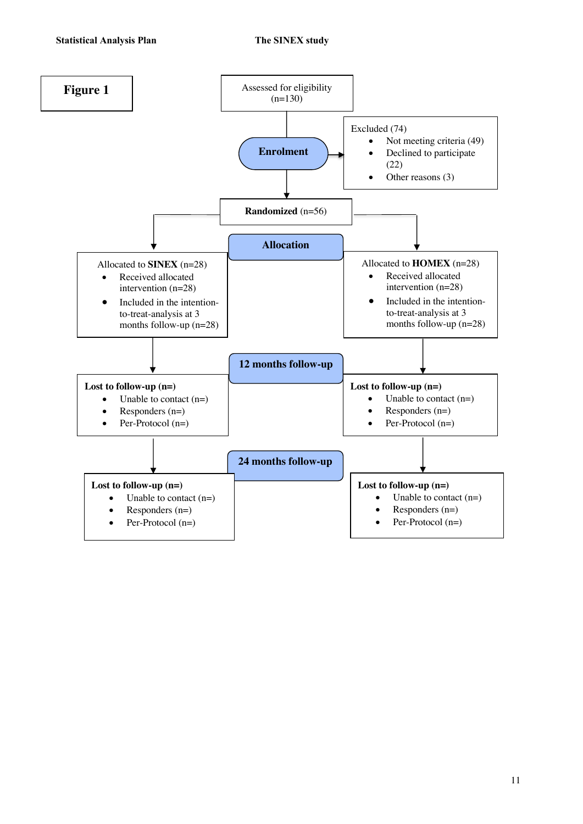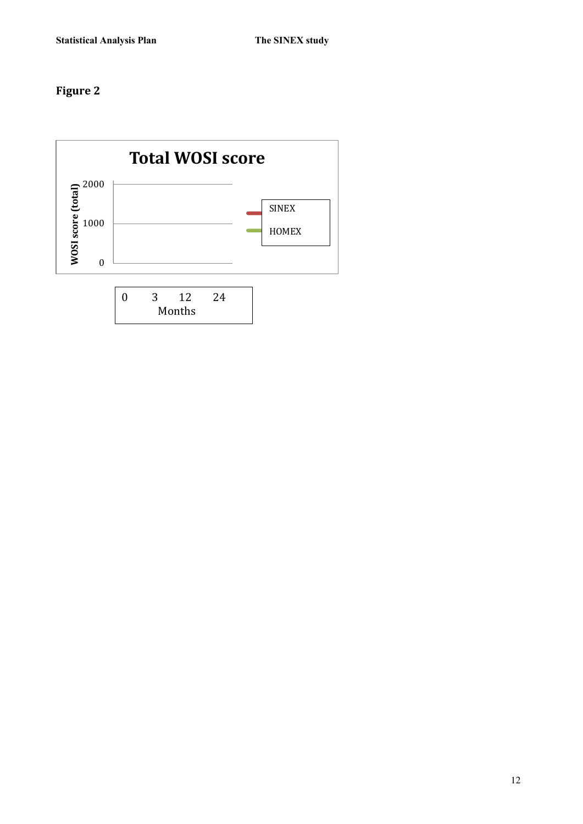## **Figure 2**

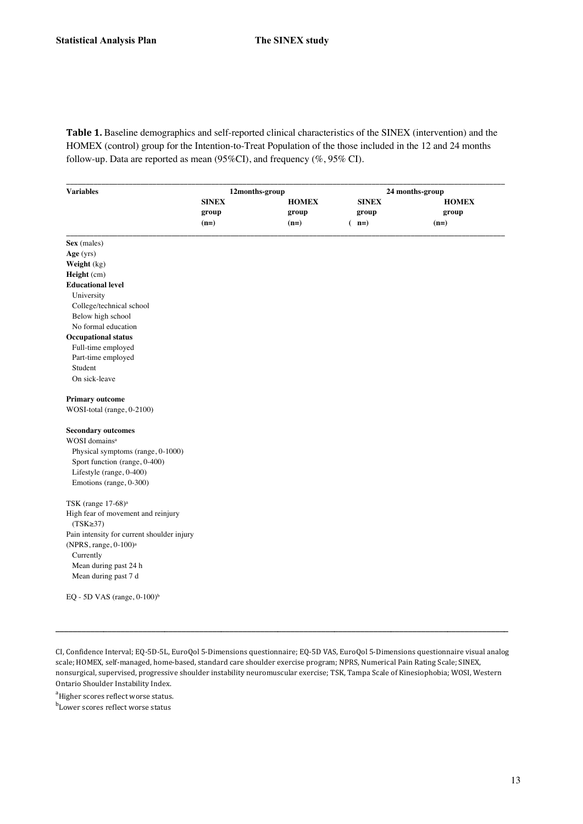Table 1. Baseline demographics and self-reported clinical characteristics of the SINEX (intervention) and the HOMEX (control) group for the Intention-to-Treat Population of the those included in the 12 and 24 months follow-up. Data are reported as mean (95%CI), and frequency (%, 95% CI).

|                                            |              | 12months-group | 24 months-group |                       |  |  |
|--------------------------------------------|--------------|----------------|-----------------|-----------------------|--|--|
|                                            | <b>SINEX</b> | <b>HOMEX</b>   | <b>SINEX</b>    | <b>HOMEX</b><br>group |  |  |
|                                            | group        | group          | group           |                       |  |  |
|                                            | $(n=)$       | $(n=)$         | $n=$<br>€       | $(n=)$                |  |  |
| Sex (males)                                |              |                |                 |                       |  |  |
| Age (yrs)                                  |              |                |                 |                       |  |  |
| Weight (kg)                                |              |                |                 |                       |  |  |
| Height (cm)                                |              |                |                 |                       |  |  |
| <b>Educational level</b>                   |              |                |                 |                       |  |  |
| University                                 |              |                |                 |                       |  |  |
| College/technical school                   |              |                |                 |                       |  |  |
| Below high school                          |              |                |                 |                       |  |  |
| No formal education                        |              |                |                 |                       |  |  |
| <b>Occupational status</b>                 |              |                |                 |                       |  |  |
| Full-time employed                         |              |                |                 |                       |  |  |
| Part-time employed                         |              |                |                 |                       |  |  |
| Student                                    |              |                |                 |                       |  |  |
| On sick-leave                              |              |                |                 |                       |  |  |
| <b>Primary outcome</b>                     |              |                |                 |                       |  |  |
| WOSI-total (range, 0-2100)                 |              |                |                 |                       |  |  |
| <b>Secondary outcomes</b>                  |              |                |                 |                       |  |  |
| WOSI domains <sup>a</sup>                  |              |                |                 |                       |  |  |
| Physical symptoms (range, 0-1000)          |              |                |                 |                       |  |  |
| Sport function (range, 0-400)              |              |                |                 |                       |  |  |
| Lifestyle (range, 0-400)                   |              |                |                 |                       |  |  |
| Emotions (range, 0-300)                    |              |                |                 |                       |  |  |
| TSK (range 17-68) <sup>a</sup>             |              |                |                 |                       |  |  |
| High fear of movement and reinjury         |              |                |                 |                       |  |  |
| $(TSK \geq 37)$                            |              |                |                 |                       |  |  |
| Pain intensity for current shoulder injury |              |                |                 |                       |  |  |
| (NPRS, range, 0-100) <sup>a</sup>          |              |                |                 |                       |  |  |
| Currently                                  |              |                |                 |                       |  |  |
|                                            |              |                |                 |                       |  |  |
| Mean during past 24 h                      |              |                |                 |                       |  |  |

CI, Confidence Interval; EQ-5D-5L, EuroQol 5-Dimensions questionnaire; EQ-5D VAS, EuroQol 5-Dimensions questionnaire visual analog scale; HOMEX, self-managed, home-based, standard care shoulder exercise program; NPRS, Numerical Pain Rating Scale; SINEX, nonsurgical, supervised, progressive shoulder instability neuromuscular exercise; TSK, Tampa Scale of Kinesiophobia; WOSI, Western Ontario Shoulder Instability Index.

\_\_\_\_\_\_\_\_\_\_\_\_\_\_\_\_\_\_\_\_\_\_\_\_\_\_\_\_\_\_\_\_\_\_\_\_\_\_\_\_\_\_\_\_\_\_\_\_\_\_\_\_\_\_\_\_\_\_\_\_\_\_\_\_\_\_\_\_\_\_\_\_\_\_\_\_\_\_\_\_\_\_\_\_\_\_\_\_\_\_\_\_\_\_\_\_\_\_\_\_\_\_\_\_

<sup>a</sup>Higher scores reflect worse status.

<sup>b</sup>Lower scores reflect worse status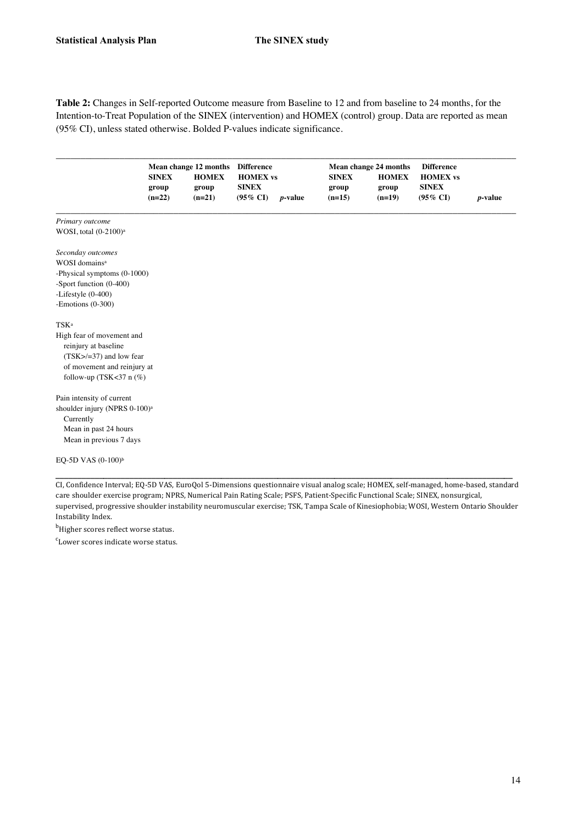**Table 2:** Changes in Self-reported Outcome measure from Baseline to 12 and from baseline to 24 months, for the Intention-to-Treat Population of the SINEX (intervention) and HOMEX (control) group. Data are reported as mean (95% CI), unless stated otherwise. Bolded P-values indicate significance.

|              | Mean change 12 months Difference |                     |                 |              | <b>Mean change 24 months</b> | <b>Difference</b>   |                 |
|--------------|----------------------------------|---------------------|-----------------|--------------|------------------------------|---------------------|-----------------|
| <b>SINEX</b> | <b>HOMEX</b>                     | <b>HOMEX</b> vs     |                 | <b>SINEX</b> | <b>HOMEX</b>                 | <b>HOMEX vs</b>     |                 |
| group        | group                            | <b>SINEX</b>        |                 | group        | group                        | <b>SINEX</b>        |                 |
| $(n=22)$     | $(n=21)$                         | $(95\% \text{ CI})$ | <i>p</i> -value | $(n=15)$     | $(n=19)$                     | $(95\% \text{ CI})$ | <i>p</i> -value |

*Primary outcome* WOSI, total  $(0-2100)$ <sup>a</sup>

*Seconday outcomes* WOSI domains<sup>a</sup> -Physical symptoms (0-1000) -Sport function (0-400) -Lifestyle (0-400) -Emotions (0-300)

TSKa

High fear of movement and reinjury at baseline (TSK>/=37) and low fear of movement and reinjury at follow-up (TSK<37 n (%)

Pain intensity of current shoulder injury (NPRS 0-100)<sup>a</sup> Currently Mean in past 24 hours Mean in previous 7 days

EQ-5D VAS (0-100)b

CI, Confidence Interval; EQ-5D VAS, EuroQol 5-Dimensions questionnaire visual analog scale; HOMEX, self-managed, home-based, standard care shoulder exercise program; NPRS, Numerical Pain Rating Scale; PSFS, Patient-Specific Functional Scale; SINEX, nonsurgical, supervised, progressive shoulder instability neuromuscular exercise; TSK, Tampa Scale of Kinesiophobia; WOSI, Western Ontario Shoulder Instability Index.

\_\_\_\_\_\_\_\_\_\_\_\_\_\_\_\_\_\_\_\_\_\_\_\_\_\_\_\_\_\_\_\_\_\_\_\_\_\_\_\_\_\_\_\_\_\_\_\_\_\_\_\_\_\_\_\_\_\_\_\_\_\_\_\_\_\_\_\_\_\_\_\_\_\_\_\_\_\_\_\_\_\_\_\_\_\_\_\_\_\_\_\_\_\_\_\_\_\_\_\_\_\_\_\_\_

<sup>b</sup>Higher scores reflect worse status.

<sup>c</sup> Lower scores indicate worse status.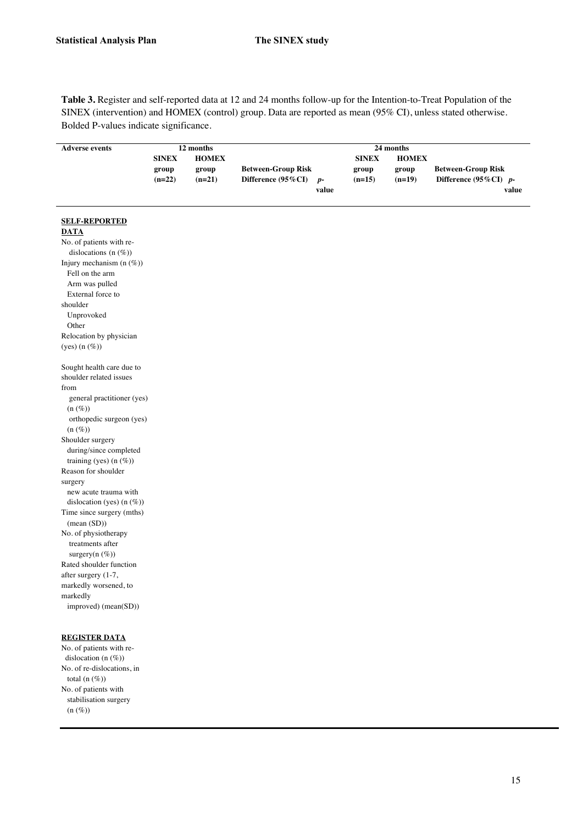**Table 3.** Register and self-reported data at 12 and 24 months follow-up for the Intention-to-Treat Population of the SINEX (intervention) and HOMEX (control) group. Data are reported as mean (95% CI), unless stated otherwise. Bolded P-values indicate significance.

| <b>Adverse events</b>                      |              | 12 months    |                           |       |              | 24 months    |                           |
|--------------------------------------------|--------------|--------------|---------------------------|-------|--------------|--------------|---------------------------|
|                                            | <b>SINEX</b> | <b>HOMEX</b> |                           |       | <b>SINEX</b> | <b>HOMEX</b> |                           |
|                                            | group        | group        | <b>Between-Group Risk</b> |       | group        | group        | <b>Between-Group Risk</b> |
|                                            | $(n=22)$     | $(n=21)$     | Difference (95%CI)        | $p-$  | $(n=15)$     | $(n=19)$     | Difference $(95\% CI)$ p- |
|                                            |              |              |                           | value |              |              | value                     |
|                                            |              |              |                           |       |              |              |                           |
| <b>SELF-REPORTED</b>                       |              |              |                           |       |              |              |                           |
| <b>DATA</b>                                |              |              |                           |       |              |              |                           |
| No. of patients with re-                   |              |              |                           |       |              |              |                           |
| dislocations $(n \, (\%)$                  |              |              |                           |       |              |              |                           |
| Injury mechanism $(n \, (\%))$             |              |              |                           |       |              |              |                           |
| Fell on the arm                            |              |              |                           |       |              |              |                           |
| Arm was pulled                             |              |              |                           |       |              |              |                           |
| External force to                          |              |              |                           |       |              |              |                           |
| shoulder                                   |              |              |                           |       |              |              |                           |
| Unprovoked                                 |              |              |                           |       |              |              |                           |
| Other                                      |              |              |                           |       |              |              |                           |
| Relocation by physician                    |              |              |                           |       |              |              |                           |
| $(yes)$ $(n \ (\%))$                       |              |              |                           |       |              |              |                           |
|                                            |              |              |                           |       |              |              |                           |
| Sought health care due to                  |              |              |                           |       |              |              |                           |
| shoulder related issues                    |              |              |                           |       |              |              |                           |
| from                                       |              |              |                           |       |              |              |                           |
| general practitioner (yes)                 |              |              |                           |       |              |              |                           |
| $(n (\%))$                                 |              |              |                           |       |              |              |                           |
| orthopedic surgeon (yes)<br>$(n (\%))$     |              |              |                           |       |              |              |                           |
|                                            |              |              |                           |       |              |              |                           |
| Shoulder surgery<br>during/since completed |              |              |                           |       |              |              |                           |
| training (yes) (n (%))                     |              |              |                           |       |              |              |                           |
| Reason for shoulder                        |              |              |                           |       |              |              |                           |
| surgery                                    |              |              |                           |       |              |              |                           |
| new acute trauma with                      |              |              |                           |       |              |              |                           |
| dislocation (yes) $(n (\%))$               |              |              |                           |       |              |              |                           |
| Time since surgery (mths)                  |              |              |                           |       |              |              |                           |
| (mean (SD))                                |              |              |                           |       |              |              |                           |
| No. of physiotherapy                       |              |              |                           |       |              |              |                           |
| treatments after                           |              |              |                           |       |              |              |                           |
| surgery( $n$ $(\%)$ )                      |              |              |                           |       |              |              |                           |
| Rated shoulder function                    |              |              |                           |       |              |              |                           |
| after surgery (1-7,                        |              |              |                           |       |              |              |                           |
| markedly worsened, to                      |              |              |                           |       |              |              |                           |
| markedly                                   |              |              |                           |       |              |              |                           |
| improved) (mean(SD))                       |              |              |                           |       |              |              |                           |
|                                            |              |              |                           |       |              |              |                           |
| <b>REGISTER DATA</b>                       |              |              |                           |       |              |              |                           |
| No. of patients with re-                   |              |              |                           |       |              |              |                           |
| dislocation (n (%))                        |              |              |                           |       |              |              |                           |
| No. of re-dislocations, in                 |              |              |                           |       |              |              |                           |
| total $(n (\%))$<br>No. of patients with   |              |              |                           |       |              |              |                           |
| stabilisation surgery                      |              |              |                           |       |              |              |                           |
| $(n (\%))$                                 |              |              |                           |       |              |              |                           |
|                                            |              |              |                           |       |              |              |                           |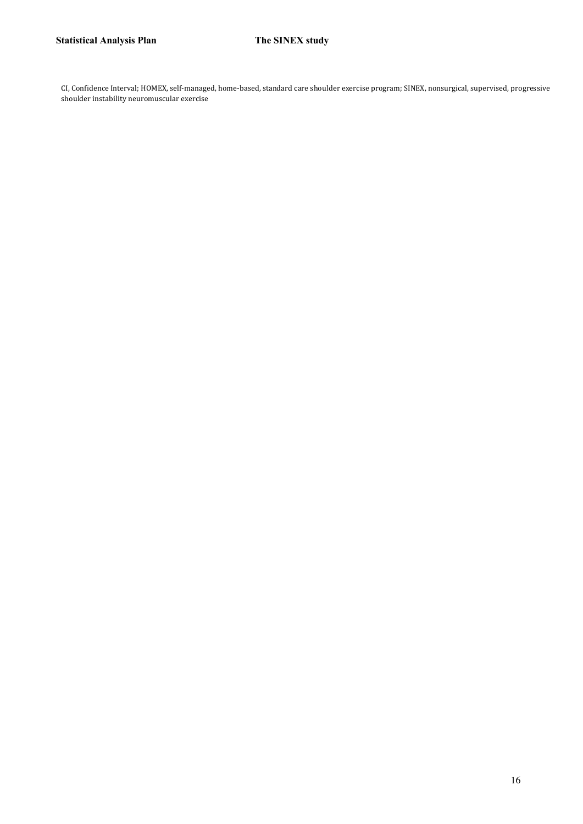CI, Confidence Interval; HOMEX, self-managed, home-based, standard care shoulder exercise program; SINEX, nonsurgical, supervised, progressive shoulder instability neuromuscular exercise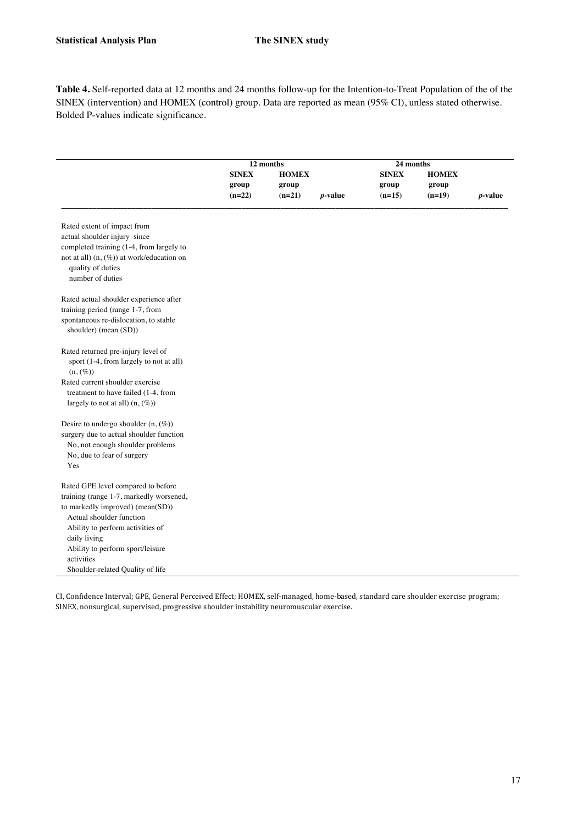**Table 4.** Self-reported data at 12 months and 24 months follow-up for the Intention-to-Treat Population of the of the SINEX (intervention) and HOMEX (control) group. Data are reported as mean (95% CI), unless stated otherwise. Bolded P-values indicate significance.

|                                                                                              |                       | $\overline{12}$ months |            | 24 months             |                       |                 |
|----------------------------------------------------------------------------------------------|-----------------------|------------------------|------------|-----------------------|-----------------------|-----------------|
|                                                                                              | <b>SINEX</b><br>group | <b>HOMEX</b><br>group  |            | <b>SINEX</b><br>group | <b>HOMEX</b><br>group |                 |
|                                                                                              | $(n=22)$              | $(n=21)$               | $p$ -value | $(n=15)$              | $(n=19)$              | <i>p</i> -value |
| Rated extent of impact from                                                                  |                       |                        |            |                       |                       |                 |
| actual shoulder injury since                                                                 |                       |                        |            |                       |                       |                 |
| completed training (1-4, from largely to                                                     |                       |                        |            |                       |                       |                 |
| not at all) $(n, (\%))$ at work/education on                                                 |                       |                        |            |                       |                       |                 |
| quality of duties                                                                            |                       |                        |            |                       |                       |                 |
| number of duties                                                                             |                       |                        |            |                       |                       |                 |
| Rated actual shoulder experience after                                                       |                       |                        |            |                       |                       |                 |
| training period (range 1-7, from                                                             |                       |                        |            |                       |                       |                 |
| spontaneous re-dislocation, to stable                                                        |                       |                        |            |                       |                       |                 |
| shoulder) (mean (SD))                                                                        |                       |                        |            |                       |                       |                 |
| Rated returned pre-injury level of<br>sport (1-4, from largely to not at all)<br>$(n, (\%))$ |                       |                        |            |                       |                       |                 |
| Rated current shoulder exercise                                                              |                       |                        |            |                       |                       |                 |
| treatment to have failed (1-4, from                                                          |                       |                        |            |                       |                       |                 |
| largely to not at all) $(n, (\%))$                                                           |                       |                        |            |                       |                       |                 |
| Desire to undergo shoulder $(n, (\%))$                                                       |                       |                        |            |                       |                       |                 |
| surgery due to actual shoulder function                                                      |                       |                        |            |                       |                       |                 |
| No, not enough shoulder problems                                                             |                       |                        |            |                       |                       |                 |
| No, due to fear of surgery                                                                   |                       |                        |            |                       |                       |                 |
| Yes                                                                                          |                       |                        |            |                       |                       |                 |
| Rated GPE level compared to before                                                           |                       |                        |            |                       |                       |                 |
| training (range 1-7, markedly worsened,                                                      |                       |                        |            |                       |                       |                 |
| to markedly improved) (mean(SD))                                                             |                       |                        |            |                       |                       |                 |
| Actual shoulder function                                                                     |                       |                        |            |                       |                       |                 |
| Ability to perform activities of                                                             |                       |                        |            |                       |                       |                 |
| daily living                                                                                 |                       |                        |            |                       |                       |                 |
| Ability to perform sport/leisure                                                             |                       |                        |            |                       |                       |                 |
| activities                                                                                   |                       |                        |            |                       |                       |                 |
| Shoulder-related Quality of life                                                             |                       |                        |            |                       |                       |                 |

CI, Confidence Interval; GPE, General Perceived Effect; HOMEX, self-managed, home-based, standard care shoulder exercise program; SINEX, nonsurgical, supervised, progressive shoulder instability neuromuscular exercise.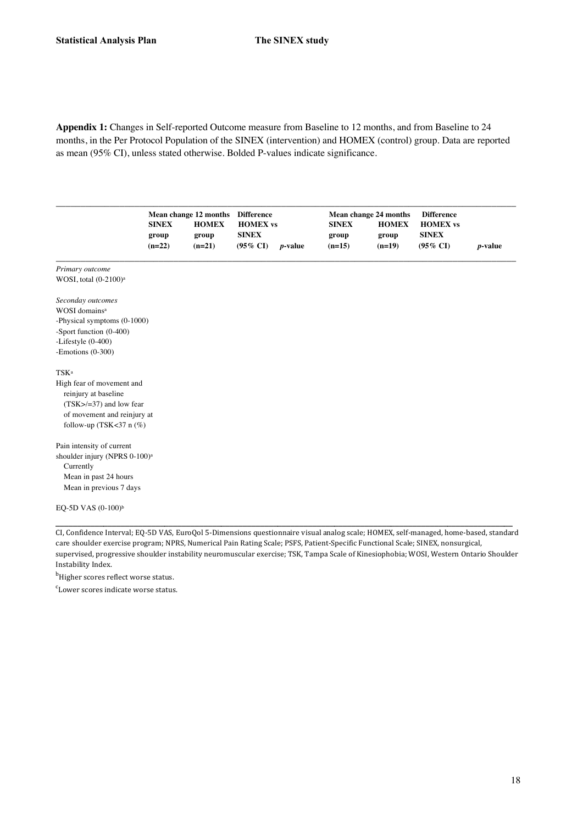**Appendix 1:** Changes in Self-reported Outcome measure from Baseline to 12 months, and from Baseline to 24 months, in the Per Protocol Population of the SINEX (intervention) and HOMEX (control) group. Data are reported as mean (95% CI), unless stated otherwise. Bolded P-values indicate significance.

|                                           | Mean change 12 months<br><b>SINEX</b><br>group<br>$(n=22)$ | <b>HOMEX</b><br>group<br>$(n=21)$ | <b>Difference</b><br><b>HOMEX vs</b><br><b>SINEX</b><br>$(95\% \text{ CI})$ | <i>p</i> -value | <b>Mean change 24 months</b><br><b>SINEX</b><br>group<br>$(n=15)$ | <b>HOMEX</b><br>group<br>$(n=19)$ | <b>Difference</b><br><b>HOMEX vs</b><br><b>SINEX</b><br>$(95\% \text{ CI})$ | <i>p</i> -value |
|-------------------------------------------|------------------------------------------------------------|-----------------------------------|-----------------------------------------------------------------------------|-----------------|-------------------------------------------------------------------|-----------------------------------|-----------------------------------------------------------------------------|-----------------|
| Primary outcome                           |                                                            |                                   |                                                                             |                 |                                                                   |                                   |                                                                             |                 |
| WOSI, total $(0-2100)$ <sup>a</sup>       |                                                            |                                   |                                                                             |                 |                                                                   |                                   |                                                                             |                 |
| Seconday outcomes                         |                                                            |                                   |                                                                             |                 |                                                                   |                                   |                                                                             |                 |
| WOSI domains <sup>a</sup>                 |                                                            |                                   |                                                                             |                 |                                                                   |                                   |                                                                             |                 |
| -Physical symptoms (0-1000)               |                                                            |                                   |                                                                             |                 |                                                                   |                                   |                                                                             |                 |
| -Sport function (0-400)                   |                                                            |                                   |                                                                             |                 |                                                                   |                                   |                                                                             |                 |
| -Lifestyle $(0-400)$                      |                                                            |                                   |                                                                             |                 |                                                                   |                                   |                                                                             |                 |
| -Emotions $(0-300)$                       |                                                            |                                   |                                                                             |                 |                                                                   |                                   |                                                                             |                 |
| <b>TSK</b> <sup>a</sup>                   |                                                            |                                   |                                                                             |                 |                                                                   |                                   |                                                                             |                 |
| High fear of movement and                 |                                                            |                                   |                                                                             |                 |                                                                   |                                   |                                                                             |                 |
| reinjury at baseline                      |                                                            |                                   |                                                                             |                 |                                                                   |                                   |                                                                             |                 |
| $(TSK > l = 37)$ and low fear             |                                                            |                                   |                                                                             |                 |                                                                   |                                   |                                                                             |                 |
| of movement and reinjury at               |                                                            |                                   |                                                                             |                 |                                                                   |                                   |                                                                             |                 |
| follow-up (TSK<37 n $(\%)$                |                                                            |                                   |                                                                             |                 |                                                                   |                                   |                                                                             |                 |
| Pain intensity of current                 |                                                            |                                   |                                                                             |                 |                                                                   |                                   |                                                                             |                 |
| shoulder injury (NPRS 0-100) <sup>a</sup> |                                                            |                                   |                                                                             |                 |                                                                   |                                   |                                                                             |                 |
| Currently                                 |                                                            |                                   |                                                                             |                 |                                                                   |                                   |                                                                             |                 |
| Mean in past 24 hours                     |                                                            |                                   |                                                                             |                 |                                                                   |                                   |                                                                             |                 |
| Mean in previous 7 days                   |                                                            |                                   |                                                                             |                 |                                                                   |                                   |                                                                             |                 |
| EQ-5D VAS (0-100) <sup>b</sup>            |                                                            |                                   |                                                                             |                 |                                                                   |                                   |                                                                             |                 |

CI, Confidence Interval; EQ-5D VAS, EuroQol 5-Dimensions questionnaire visual analog scale; HOMEX, self-managed, home-based, standard care shoulder exercise program; NPRS, Numerical Pain Rating Scale; PSFS, Patient-Specific Functional Scale; SINEX, nonsurgical, supervised, progressive shoulder instability neuromuscular exercise; TSK, Tampa Scale of Kinesiophobia; WOSI, Western Ontario Shoulder Instability Index.

<sup>b</sup>Higher scores reflect worse status.

<sup>c</sup> Lower scores indicate worse status.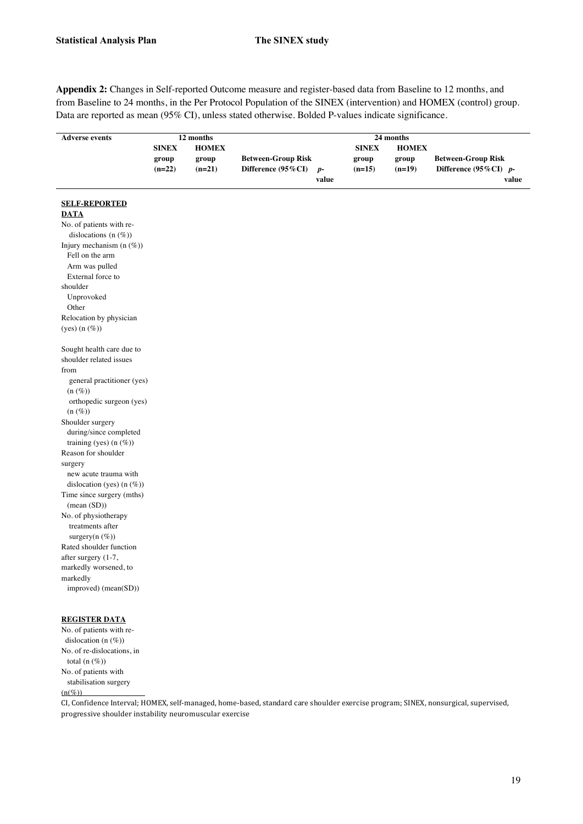stabilisation surgery

 $(n(\%))$ 

**Appendix 2:** Changes in Self-reported Outcome measure and register-based data from Baseline to 12 months, and from Baseline to 24 months, in the Per Protocol Population of the SINEX (intervention) and HOMEX (control) group. Data are reported as mean (95% CI), unless stated otherwise. Bolded P-values indicate significance.

| <b>Adverse events</b>            |              | 12 months    |                           |       |              | 24 months    |                           |       |
|----------------------------------|--------------|--------------|---------------------------|-------|--------------|--------------|---------------------------|-------|
|                                  | <b>SINEX</b> | <b>HOMEX</b> |                           |       | <b>SINEX</b> | <b>HOMEX</b> |                           |       |
|                                  | group        | group        | <b>Between-Group Risk</b> |       | group        | group        | <b>Between-Group Risk</b> |       |
|                                  | $(n=22)$     | $(n=21)$     | Difference (95%CI)        | $p-$  | $(n=15)$     | $(n=19)$     | Difference $(95\% CI)$ p- |       |
|                                  |              |              |                           | value |              |              |                           | value |
|                                  |              |              |                           |       |              |              |                           |       |
| <b>SELF-REPORTED</b>             |              |              |                           |       |              |              |                           |       |
| <b>DATA</b>                      |              |              |                           |       |              |              |                           |       |
| No. of patients with re-         |              |              |                           |       |              |              |                           |       |
| dislocations (n (%))             |              |              |                           |       |              |              |                           |       |
| Injury mechanism $(n \, (\%))$   |              |              |                           |       |              |              |                           |       |
| Fell on the arm                  |              |              |                           |       |              |              |                           |       |
| Arm was pulled                   |              |              |                           |       |              |              |                           |       |
| External force to                |              |              |                           |       |              |              |                           |       |
| shoulder                         |              |              |                           |       |              |              |                           |       |
| Unprovoked                       |              |              |                           |       |              |              |                           |       |
| Other                            |              |              |                           |       |              |              |                           |       |
| Relocation by physician          |              |              |                           |       |              |              |                           |       |
| (yes) $(n \ (\%))$               |              |              |                           |       |              |              |                           |       |
|                                  |              |              |                           |       |              |              |                           |       |
| Sought health care due to        |              |              |                           |       |              |              |                           |       |
| shoulder related issues          |              |              |                           |       |              |              |                           |       |
| from                             |              |              |                           |       |              |              |                           |       |
| general practitioner (yes)       |              |              |                           |       |              |              |                           |       |
| $(n (\%))$                       |              |              |                           |       |              |              |                           |       |
| orthopedic surgeon (yes)         |              |              |                           |       |              |              |                           |       |
| $(n (\%))$                       |              |              |                           |       |              |              |                           |       |
| Shoulder surgery                 |              |              |                           |       |              |              |                           |       |
| during/since completed           |              |              |                           |       |              |              |                           |       |
| training (yes) $(n \, (\%))$     |              |              |                           |       |              |              |                           |       |
| Reason for shoulder              |              |              |                           |       |              |              |                           |       |
| surgery                          |              |              |                           |       |              |              |                           |       |
| new acute trauma with            |              |              |                           |       |              |              |                           |       |
| dislocation (yes) $(n (\%))$     |              |              |                           |       |              |              |                           |       |
| Time since surgery (mths)        |              |              |                           |       |              |              |                           |       |
| (mean (SD))                      |              |              |                           |       |              |              |                           |       |
| No. of physiotherapy             |              |              |                           |       |              |              |                           |       |
| treatments after                 |              |              |                           |       |              |              |                           |       |
| surgery( $n$ $(\%)$ )            |              |              |                           |       |              |              |                           |       |
| Rated shoulder function          |              |              |                           |       |              |              |                           |       |
| after surgery (1-7,              |              |              |                           |       |              |              |                           |       |
| markedly worsened, to            |              |              |                           |       |              |              |                           |       |
| markedly<br>improved) (mean(SD)) |              |              |                           |       |              |              |                           |       |
|                                  |              |              |                           |       |              |              |                           |       |
|                                  |              |              |                           |       |              |              |                           |       |
| <b>REGISTER DATA</b>             |              |              |                           |       |              |              |                           |       |
| No. of patients with re-         |              |              |                           |       |              |              |                           |       |
| dislocation (n (%))              |              |              |                           |       |              |              |                           |       |
| No. of re-dislocations, in       |              |              |                           |       |              |              |                           |       |
| total $(n (\%))$                 |              |              |                           |       |              |              |                           |       |
| No. of patients with             |              |              |                           |       |              |              |                           |       |

CI, Confidence Interval; HOMEX, self-managed, home-based, standard care shoulder exercise program; SINEX, nonsurgical, supervised, progressive shoulder instability neuromuscular exercise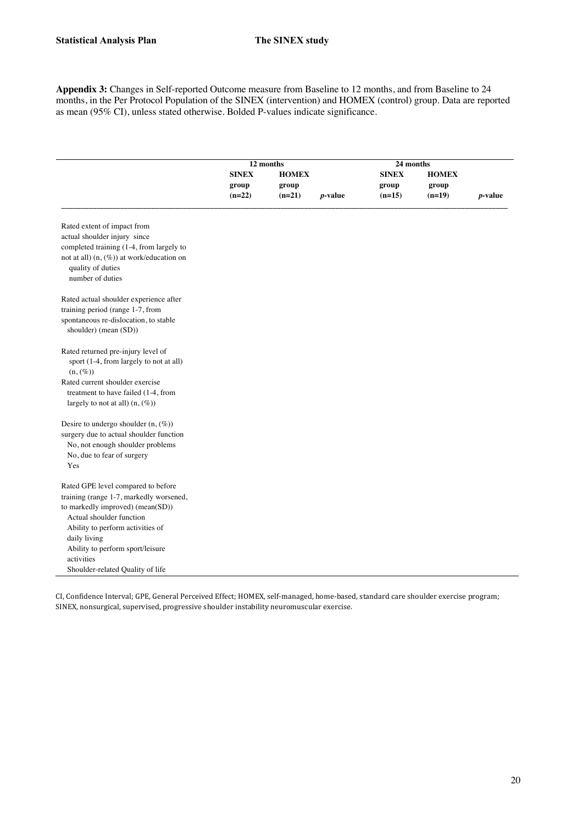**Appendix 3:** Changes in Self-reported Outcome measure from Baseline to 12 months, and from Baseline to 24 months, in the Per Protocol Population of the SINEX (intervention) and HOMEX (control) group. Data are reported as mean (95% CI), unless stated otherwise. Bolded P-values indicate significance.

|                                                                                              |              | $\overline{12}$ months |            | 24 months    |              |            |
|----------------------------------------------------------------------------------------------|--------------|------------------------|------------|--------------|--------------|------------|
|                                                                                              | <b>SINEX</b> | <b>HOMEX</b>           |            | <b>SINEX</b> | <b>HOMEX</b> |            |
|                                                                                              | group        | group                  |            | group        | group        |            |
|                                                                                              | $(n=22)$     | $(n=21)$               | $p$ -value | $(n=15)$     | $(n=19)$     | $p$ -value |
| Rated extent of impact from                                                                  |              |                        |            |              |              |            |
| actual shoulder injury since                                                                 |              |                        |            |              |              |            |
| completed training (1-4, from largely to                                                     |              |                        |            |              |              |            |
| not at all) (n, (%)) at work/education on                                                    |              |                        |            |              |              |            |
| quality of duties                                                                            |              |                        |            |              |              |            |
| number of duties                                                                             |              |                        |            |              |              |            |
| Rated actual shoulder experience after                                                       |              |                        |            |              |              |            |
| training period (range 1-7, from                                                             |              |                        |            |              |              |            |
| spontaneous re-dislocation, to stable                                                        |              |                        |            |              |              |            |
| shoulder) (mean (SD))                                                                        |              |                        |            |              |              |            |
| Rated returned pre-injury level of<br>sport (1-4, from largely to not at all)<br>$(n, (\%))$ |              |                        |            |              |              |            |
| Rated current shoulder exercise                                                              |              |                        |            |              |              |            |
| treatment to have failed (1-4, from                                                          |              |                        |            |              |              |            |
| largely to not at all) $(n, (\%))$                                                           |              |                        |            |              |              |            |
| Desire to undergo shoulder $(n, (\%))$                                                       |              |                        |            |              |              |            |
| surgery due to actual shoulder function                                                      |              |                        |            |              |              |            |
| No, not enough shoulder problems                                                             |              |                        |            |              |              |            |
| No, due to fear of surgery                                                                   |              |                        |            |              |              |            |
| Yes                                                                                          |              |                        |            |              |              |            |
| Rated GPE level compared to before                                                           |              |                        |            |              |              |            |
| training (range 1-7, markedly worsened,                                                      |              |                        |            |              |              |            |
| to markedly improved) (mean(SD))                                                             |              |                        |            |              |              |            |
| Actual shoulder function                                                                     |              |                        |            |              |              |            |
| Ability to perform activities of                                                             |              |                        |            |              |              |            |
| daily living                                                                                 |              |                        |            |              |              |            |
| Ability to perform sport/leisure                                                             |              |                        |            |              |              |            |
| activities                                                                                   |              |                        |            |              |              |            |
| Shoulder-related Quality of life                                                             |              |                        |            |              |              |            |

CI, Confidence Interval; GPE, General Perceived Effect; HOMEX, self-managed, home-based, standard care shoulder exercise program; SINEX, nonsurgical, supervised, progressive shoulder instability neuromuscular exercise.